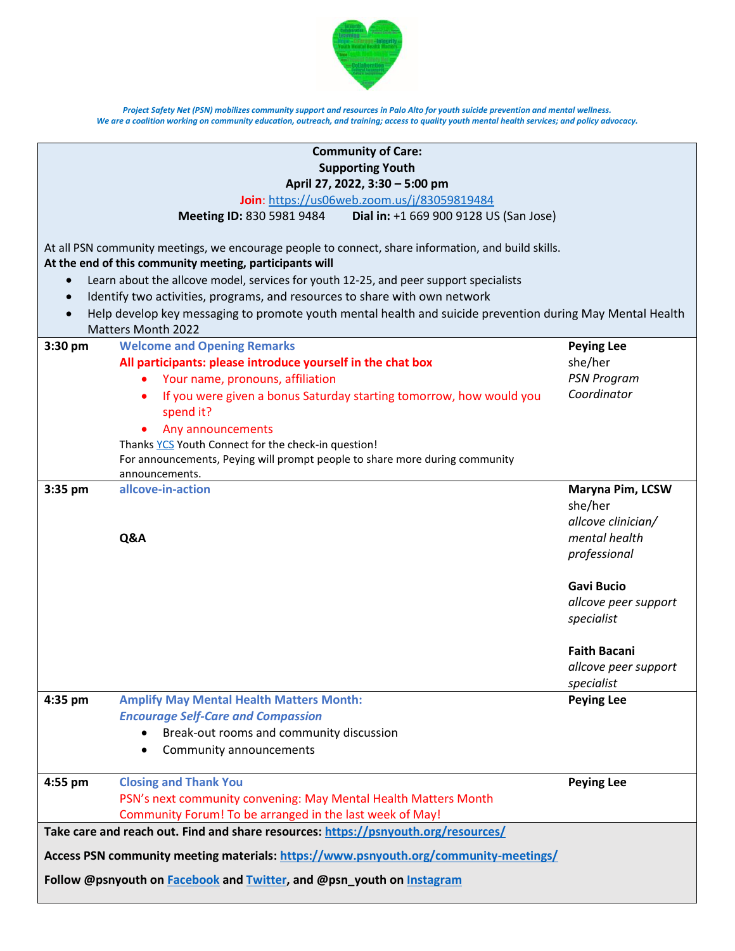

| <b>Community of Care:</b>                                                                                                                                      |                                                                                  |                      |  |  |
|----------------------------------------------------------------------------------------------------------------------------------------------------------------|----------------------------------------------------------------------------------|----------------------|--|--|
| <b>Supporting Youth</b>                                                                                                                                        |                                                                                  |                      |  |  |
| April 27, 2022, 3:30 - 5:00 pm                                                                                                                                 |                                                                                  |                      |  |  |
| Join: https://us06web.zoom.us/j/83059819484                                                                                                                    |                                                                                  |                      |  |  |
| Dial in: +1 669 900 9128 US (San Jose)<br>Meeting ID: 830 5981 9484                                                                                            |                                                                                  |                      |  |  |
| At all PSN community meetings, we encourage people to connect, share information, and build skills.<br>At the end of this community meeting, participants will |                                                                                  |                      |  |  |
| Learn about the allcove model, services for youth 12-25, and peer support specialists<br>$\bullet$                                                             |                                                                                  |                      |  |  |
| $\bullet$                                                                                                                                                      | Identify two activities, programs, and resources to share with own network       |                      |  |  |
| Help develop key messaging to promote youth mental health and suicide prevention during May Mental Health<br>$\bullet$                                         |                                                                                  |                      |  |  |
|                                                                                                                                                                | <b>Matters Month 2022</b>                                                        |                      |  |  |
| $3:30$ pm                                                                                                                                                      | <b>Welcome and Opening Remarks</b>                                               | <b>Peying Lee</b>    |  |  |
|                                                                                                                                                                | All participants: please introduce yourself in the chat box                      | she/her              |  |  |
|                                                                                                                                                                | Your name, pronouns, affiliation<br>٠                                            | <b>PSN Program</b>   |  |  |
|                                                                                                                                                                | If you were given a bonus Saturday starting tomorrow, how would you<br>spend it? | Coordinator          |  |  |
|                                                                                                                                                                | Any announcements                                                                |                      |  |  |
|                                                                                                                                                                | Thanks YCS Youth Connect for the check-in question!                              |                      |  |  |
|                                                                                                                                                                | For announcements, Peying will prompt people to share more during community      |                      |  |  |
|                                                                                                                                                                | announcements.                                                                   |                      |  |  |
| 3:35 pm                                                                                                                                                        | allcove-in-action                                                                | Maryna Pim, LCSW     |  |  |
|                                                                                                                                                                |                                                                                  | she/her              |  |  |
|                                                                                                                                                                |                                                                                  | allcove clinician/   |  |  |
|                                                                                                                                                                | Q&A                                                                              | mental health        |  |  |
|                                                                                                                                                                |                                                                                  | professional         |  |  |
|                                                                                                                                                                |                                                                                  | <b>Gavi Bucio</b>    |  |  |
|                                                                                                                                                                |                                                                                  | allcove peer support |  |  |
|                                                                                                                                                                |                                                                                  | specialist           |  |  |
|                                                                                                                                                                |                                                                                  |                      |  |  |
|                                                                                                                                                                |                                                                                  | <b>Faith Bacani</b>  |  |  |
|                                                                                                                                                                |                                                                                  | allcove peer support |  |  |
|                                                                                                                                                                |                                                                                  | specialist           |  |  |
| 4:35 pm                                                                                                                                                        | <b>Amplify May Mental Health Matters Month:</b>                                  | <b>Peying Lee</b>    |  |  |
|                                                                                                                                                                | <b>Encourage Self-Care and Compassion</b>                                        |                      |  |  |
|                                                                                                                                                                | Break-out rooms and community discussion                                         |                      |  |  |
|                                                                                                                                                                | Community announcements<br>$\bullet$                                             |                      |  |  |
|                                                                                                                                                                |                                                                                  |                      |  |  |
| 4:55 pm                                                                                                                                                        | <b>Closing and Thank You</b>                                                     | <b>Peying Lee</b>    |  |  |
|                                                                                                                                                                | PSN's next community convening: May Mental Health Matters Month                  |                      |  |  |
|                                                                                                                                                                | Community Forum! To be arranged in the last week of May!                         |                      |  |  |
| Take care and reach out. Find and share resources: https://psnyouth.org/resources/                                                                             |                                                                                  |                      |  |  |
| Access PSN community meeting materials: https://www.psnyouth.org/community-meetings/                                                                           |                                                                                  |                      |  |  |
| Follow @psnyouth on Facebook and Twitter, and @psn_youth on Instagram                                                                                          |                                                                                  |                      |  |  |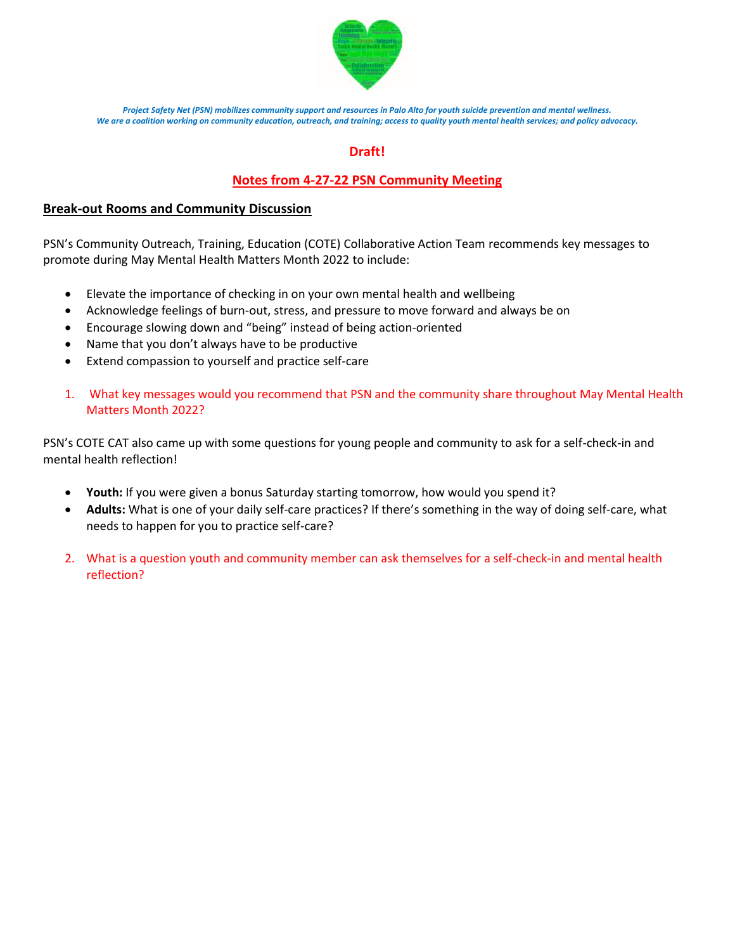

## **Draft!**

## **Notes from 4-27-22 PSN Community Meeting**

## **Break-out Rooms and Community Discussion**

PSN's Community Outreach, Training, Education (COTE) Collaborative Action Team recommends key messages to promote during May Mental Health Matters Month 2022 to include:

- Elevate the importance of checking in on your own mental health and wellbeing
- Acknowledge feelings of burn-out, stress, and pressure to move forward and always be on
- Encourage slowing down and "being" instead of being action-oriented
- Name that you don't always have to be productive
- Extend compassion to yourself and practice self-care
- 1. What key messages would you recommend that PSN and the community share throughout May Mental Health Matters Month 2022?

PSN's COTE CAT also came up with some questions for young people and community to ask for a self-check-in and mental health reflection!

- **Youth:** If you were given a bonus Saturday starting tomorrow, how would you spend it?
- **Adults:** What is one of your daily self-care practices? If there's something in the way of doing self-care, what needs to happen for you to practice self-care?
- 2. What is a question youth and community member can ask themselves for a self-check-in and mental health reflection?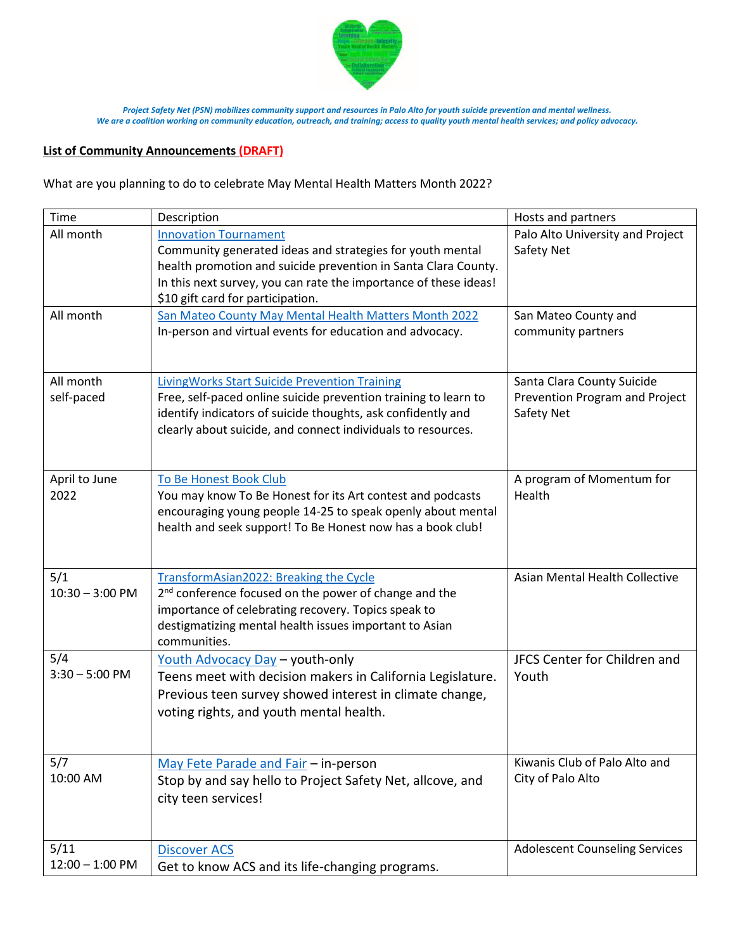

## **List of Community Announcements (DRAFT)**

What are you planning to do to celebrate May Mental Health Matters Month 2022?

| Time                      | Description                                                                                                                                                                                                                                                          | Hosts and partners                                                         |
|---------------------------|----------------------------------------------------------------------------------------------------------------------------------------------------------------------------------------------------------------------------------------------------------------------|----------------------------------------------------------------------------|
| All month                 | <b>Innovation Tournament</b><br>Community generated ideas and strategies for youth mental<br>health promotion and suicide prevention in Santa Clara County.<br>In this next survey, you can rate the importance of these ideas!<br>\$10 gift card for participation. | Palo Alto University and Project<br>Safety Net                             |
| All month                 | San Mateo County May Mental Health Matters Month 2022<br>In-person and virtual events for education and advocacy.                                                                                                                                                    | San Mateo County and<br>community partners                                 |
| All month<br>self-paced   | <b>LivingWorks Start Suicide Prevention Training</b><br>Free, self-paced online suicide prevention training to learn to<br>identify indicators of suicide thoughts, ask confidently and<br>clearly about suicide, and connect individuals to resources.              | Santa Clara County Suicide<br>Prevention Program and Project<br>Safety Net |
| April to June<br>2022     | To Be Honest Book Club<br>You may know To Be Honest for its Art contest and podcasts<br>encouraging young people 14-25 to speak openly about mental<br>health and seek support! To Be Honest now has a book club!                                                    | A program of Momentum for<br>Health                                        |
| 5/1<br>$10:30 - 3:00$ PM  | TransformAsian2022: Breaking the Cycle<br>2 <sup>nd</sup> conference focused on the power of change and the<br>importance of celebrating recovery. Topics speak to<br>destigmatizing mental health issues important to Asian<br>communities.                         | Asian Mental Health Collective                                             |
| 5/4<br>$3:30 - 5:00$ PM   | Youth Advocacy Day - youth-only<br>Teens meet with decision makers in California Legislature.<br>Previous teen survey showed interest in climate change,<br>voting rights, and youth mental health.                                                                  | JFCS Center for Children and<br>Youth                                      |
| 5/7<br>10:00 AM           | May Fete Parade and Fair - in-person<br>Stop by and say hello to Project Safety Net, allcove, and<br>city teen services!                                                                                                                                             | Kiwanis Club of Palo Alto and<br>City of Palo Alto                         |
| 5/11<br>$12:00 - 1:00$ PM | <b>Discover ACS</b><br>Get to know ACS and its life-changing programs.                                                                                                                                                                                               | <b>Adolescent Counseling Services</b>                                      |